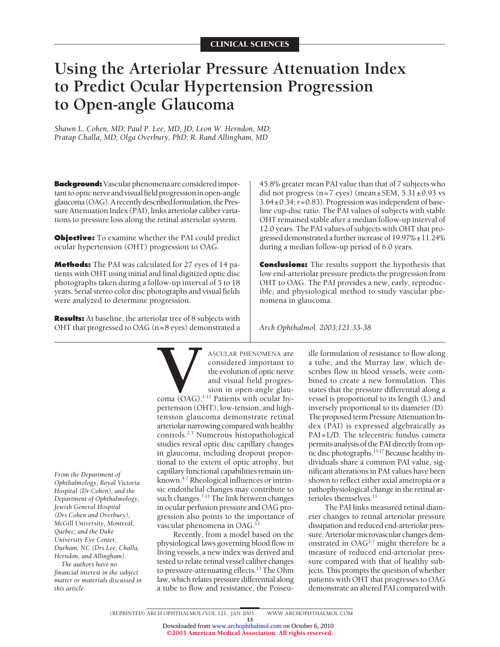# **Using the Arteriolar Pressure Attenuation Index to Predict Ocular Hypertension Progression to Open-angle Glaucoma**

*Shawn L. Cohen, MD; Paul P. Lee, MD, JD; Leon W. Herndon, MD; Pratap Challa, MD; Olga Overbury, PhD; R. Rand Allingham, MD*

**Background:**Vascular phenomena are consideredimportant to optic nerve and visual field progression in open-angle glaucoma (OAG). A recently described formulation, the Pressure Attenuation Index (PAI), links arteriolar caliber variations to pressure loss along the retinal arteriolar system.

**Objective:** To examine whether the PAI could predict ocular hypertension (OHT) progression to OAG.

**Methods:** The PAI was calculated for 27 eyes of 14 patients with OHT using initial and final digitized optic disc photographs taken during a follow-up interval of 5 to 18 years. Serial stereo color disc photographs and visual fields were analyzed to determine progression.

**Results:** At baseline, the arteriolar tree of 8 subjects with OHT that progressed to OAG (n=8 eyes) demonstrated a 45.8% greater mean PAI value than that of 7 subjects who did not progress (n=7 eyes) (mean $\pm$ SEM, 5.31 $\pm$ 0.93 vs 3.64±0.34;*r*=0.83). Progression was independent of baseline cup-disc ratio. The PAI values of subjects with stable OHT remained stable after a median follow-up interval of 12.0 years. The PAI values of subjects with OHT that progressed demonstrated afurther increase of 19.97%±11.24% during a median follow-up period of 6.0 years.

**Conclusions:** The results support the hypothesis that low end-arteriolar pressure predicts the progression from OHT to OAG. The PAI provides a new, early, reproducible, and physiological method to study vascular phenomena in glaucoma.

*Arch Ophthalmol. 2003;121:33-38*

*From the Department of Ophthalmology, Royal Victoria Hospital (Dr Cohen), and the Department of Ophthalmology, Jewish General Hospital (Drs Cohen and Overbury), McGill University, Montreal, Quebec; and the Duke University Eye Center, Durham, NC (Drs Lee, Challa, Herndon, and Allingham).*

*The authors have no financial interest in the subject matter or materials discussed in this article.*

**VACULAR PHENOMENA are**<br>
considered important to<br>
the evolution of optic nerve<br>
and visual field progres-<br>
sion in open-angle glau-<br>
pertension (OHT). low-tension, and highconsidered important to the evolution of optic nerve and visual field progression in open-angle glau-

coma (OAG).<sup>1-11</sup> Patients with ocular hypertension (OHT), low-tension, and hightension glaucoma demonstrate retinal arteriolar narrowing compared with healthy controls.2,3 Numerous histopathological studies reveal optic disc capillary changes in glaucoma, including dropout proportional to the extent of optic atrophy, but capillary functional capabilities remain unknown.4-7 Rheological influences or intrinsic endothelial changes may contribute to such changes.<sup>7-11</sup> The link between changes in ocular perfusion pressure and OAG progression also points to the importance of vascular phenomena in OAG.<sup>12</sup>

Recently, from a model based on the physiological laws governing blood flow in living vessels, a new index was derived and tested to relate retinal vessel caliber changes to pressure-attenuating effects.<sup>13</sup> The Ohm law, which relates pressure differential along a tube to flow and resistance, the Poiseuille formulation of resistance to flow along a tube, and the Murray law, which describes flow in blood vessels, were combined to create a new formulation. This states that the pressure differential along a vessel is proportional to its length (L) and inversely proportional to its diameter (D). The proposed term Pressure Attenuation Index (PAI) is expressed algebraically as PAI=L/D. The telecentric fundus camera permits analysis of the PAI directly from optic disc photographs.13-17 Because healthyindividuals share a common PAI value, significant alterations in PAI values have been shown to reflect either axial ametropia or a pathophysiological change in the retinal arterioles themselves.13

The PAI links measured retinal diameter changes to retinal arteriolar pressure dissipation and reduced end-arteriolar pressure. Arteriolar microvascular changes demonstrated in OAG<sup>2-7</sup> might therefore be a measure of reduced end-arteriolar pressure compared with that of healthy subjects. This prompts the question of whether patients with OHT that progresses to OAG demonstrate an altered PAI compared with

33 Downloaded from [www.archophthalmol.com](http://www.archophthalmol.com) on October 6, 2010 ©2003 American Medical Association. All rights reserved.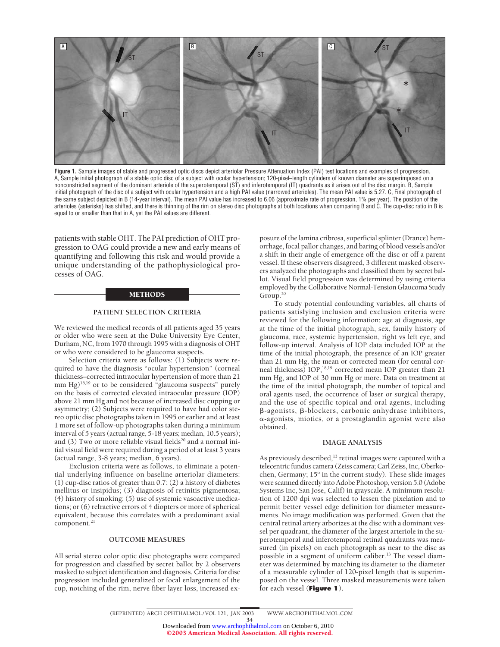

Figure 1. Sample images of stable and progressed optic discs depict arteriolar Pressure Attenuation Index (PAI) test locations and examples of progression. A, Sample initial photograph of a stable optic disc of a subject with ocular hypertension; 120-pixel–length cylinders of known diameter are superimposed on a nonconstricted segment of the dominant arteriole of the superotemporal (ST) and inferotemporal (IT) quadrants as it arises out of the disc margin. B, Sample initial photograph of the disc of a subject with ocular hypertension and a high PAI value (narrowed arterioles). The mean PAI value is 5.27. C, Final photograph of the same subject depicted in B (14-year interval). The mean PAI value has increased to 6.06 (approximate rate of progression, 1% per year). The position of the arterioles (asterisks) has shifted, and there is thinning of the rim on stereo disc photographs at both locations when comparing B and C. The cup-disc ratio in B is equal to or smaller than that in A, yet the PAI values are different.

patients with stable OHT. The PAI prediction of OHT progression to OAG could provide a new and early means of quantifying and following this risk and would provide a unique understanding of the pathophysiological processes of OAG.

#### METHODS

## **PATIENT SELECTION CRITERIA**

We reviewed the medical records of all patients aged 35 years or older who were seen at the Duke University Eye Center, Durham, NC, from 1970 through 1995 with a diagnosis of OHT or who were considered to be glaucoma suspects.

Selection criteria were as follows: (1) Subjects were required to have the diagnosis "ocular hypertension" (corneal thickness–corrected intraocular hypertension of more than 21 mm Hg)18,19 or to be considered "glaucoma suspects" purely on the basis of corrected elevated intraocular pressure (IOP) above 21 mm Hg and not because of increased disc cupping or asymmetry; (2) Subjects were required to have had color stereo optic disc photographs taken in 1995 or earlier and at least 1 more set of follow-up photographs taken during a minimum interval of 5 years (actual range, 5-18 years; median, 10.5 years); and  $(3)$  Two or more reliable visual fields<sup>20</sup> and a normal initial visual field were required during a period of at least 3 years (actual range, 3-8 years; median, 6 years).

Exclusion criteria were as follows, to eliminate a potential underlying influence on baseline arteriolar diameters: (1) cup-disc ratios of greater than 0.7; (2) a history of diabetes mellitus or insipidus; (3) diagnosis of retinitis pigmentosa; (4) history of smoking; (5) use of systemic vasoactive medications; or (6) refractive errors of 4 diopters or more of spherical equivalent, because this correlates with a predominant axial component.<sup>21</sup>

## **OUTCOME MEASURES**

All serial stereo color optic disc photographs were compared for progression and classified by secret ballot by 2 observers masked to subject identification and diagnosis. Criteria for disc progression included generalized or focal enlargement of the cup, notching of the rim, nerve fiber layer loss, increased exposure of the lamina cribrosa, superficial splinter (Drance) hemorrhage, focal pallor changes, and baring of blood vessels and/or a shift in their angle of emergence off the disc or off a parent vessel. If these observers disagreed, 3 different masked observers analyzed the photographs and classified them by secret ballot. Visual field progression was determined by using criteria employed by the Collaborative Normal-Tension Glaucoma Study Group.20

To study potential confounding variables, all charts of patients satisfying inclusion and exclusion criteria were reviewed for the following information: age at diagnosis, age at the time of the initial photograph, sex, family history of glaucoma, race, systemic hypertension, right vs left eye, and follow-up interval. Analysis of IOP data included IOP at the time of the initial photograph, the presence of an IOP greater than 21 mm Hg, the mean or corrected mean (for central corneal thickness) IOP,<sup>18,19</sup> corrected mean IOP greater than 21 mm Hg, and IOP of 30 mm Hg or more. Data on treatment at the time of the initial photograph, the number of topical and oral agents used, the occurrence of laser or surgical therapy, and the use of specific topical and oral agents, including  $\beta$ -agonists,  $\beta$ -blockers, carbonic anhydrase inhibitors, --agonists, miotics, or a prostaglandin agonist were also obtained.

#### **IMAGE ANALYSIS**

As previously described,<sup>13</sup> retinal images were captured with a telecentric fundus camera (Zeiss camera; Carl Zeiss, Inc, Oberkochen, Germany; 15° in the current study). These slide images were scanned directly into Adobe Photoshop, version 5.0 (Adobe Systems Inc, San Jose, Calif) in grayscale. A minimum resolution of 1200 dpi was selected to lessen the pixelation and to permit better vessel edge definition for diameter measurements. No image modification was performed. Given that the central retinal artery arborizes at the disc with a dominant vessel per quadrant, the diameter of the largest arteriole in the superotemporal and inferotemporal retinal quadrants was measured (in pixels) on each photograph as near to the disc as possible in a segment of uniform caliber.13 The vessel diameter was determined by matching its diameter to the diameter of a measurable cylinder of 120-pixel length that is superimposed on the vessel. Three masked measurements were taken for each vessel (**Figure 1**).

34 Downloaded from [www.archophthalmol.com](http://www.archophthalmol.com) on October 6, 2010

©2003 American Medical Association. All rights reserved.

<sup>(</sup>REPRINTED) ARCH OPHTHALMOL / VOL 121, JAN 2003 WWW.ARCHOPHTHALMOL.COM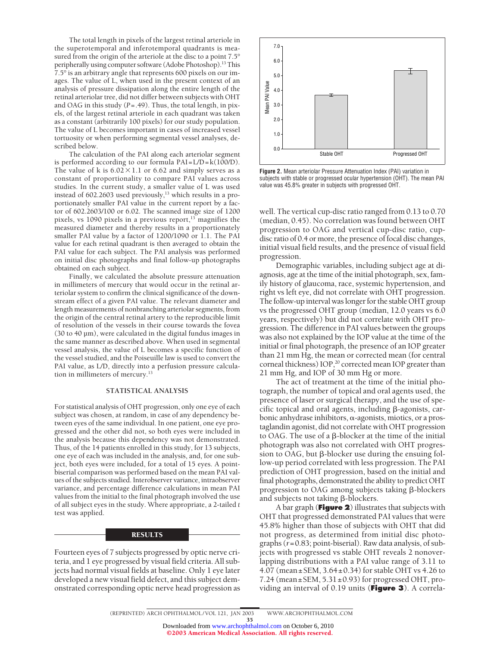The total length in pixels of the largest retinal arteriole in the superotemporal and inferotemporal quadrants is measured from the origin of the arteriole at the disc to a point 7.5° peripherally using computer software (Adobe Photoshop).<sup>13</sup> This 7.5° is an arbitrary angle that represents 600 pixels on our images. The value of L, when used in the present context of an analysis of pressure dissipation along the entire length of the retinal arteriolar tree, did not differ between subjects with OHT and OAG in this study (*P*=.49). Thus, the total length, in pixels, of the largest retinal arteriole in each quadrant was taken as a constant (arbitrarily 100 pixels) for our study population. The value of L becomes important in cases of increased vessel tortuosity or when performing segmental vessel analyses, described below.

The calculation of the PAI along each arteriolar segment is performed according to our formula  $PAI = L/D = k(100/D)$ . The value of k is  $6.02 \times 1.1$  or 6.62 and simply serves as a constant of proportionality to compare PAI values across studies. In the current study, a smaller value of L was used instead of  $602.2603$  used previously,<sup>13</sup> which results in a proportionately smaller PAI value in the current report by a factor of 602.2603/100 or 6.02. The scanned image size of 1200 pixels, vs 1090 pixels in a previous report, $13$  magnifies the measured diameter and thereby results in a proportionately smaller PAI value by a factor of 1200/1090 or 1.1. The PAI value for each retinal quadrant is then averaged to obtain the PAI value for each subject. The PAI analysis was performed on initial disc photographs and final follow-up photographs obtained on each subject.

Finally, we calculated the absolute pressure attenuation in millimeters of mercury that would occur in the retinal arteriolar system to confirm the clinical significance of the downstream effect of a given PAI value. The relevant diameter and length measurements of nonbranching arteriolar segments, from the origin of the central retinal artery to the reproducible limit of resolution of the vessels in their course towards the fovea (30 to 40 µm), were calculated in the digital fundus images in the same manner as described above. When used in segmental vessel analysis, the value of L becomes a specific function of the vessel studied, and the Poiseuille law is used to convert the PAI value, as L/D, directly into a perfusion pressure calculation in millimeters of mercury.<sup>13</sup>

#### **STATISTICAL ANALYSIS**

For statistical analysis of OHT progression, only one eye of each subject was chosen, at random, in case of any dependency between eyes of the same individual. In one patient, one eye progressed and the other did not, so both eyes were included in the analysis because this dependency was not demonstrated. Thus, of the 14 patients enrolled in this study, for 13 subjects, one eye of each was included in the analysis, and, for one subject, both eyes were included, for a total of 15 eyes. A pointbiserial comparison was performed based on the mean PAI values of the subjects studied. Interobserver variance, intraobserver variance, and percentage difference calculations in mean PAI values from the initial to the final photograph involved the use of all subject eyes in the study. Where appropriate, a 2-tailed *t* test was applied.

#### **RESULTS**

Fourteen eyes of 7 subjects progressed by optic nerve criteria, and 1 eye progressed by visual field criteria. All subjects had normal visual fields at baseline. Only 1 eye later developed a new visual field defect, and this subject demonstrated corresponding optic nerve head progression as



**Figure 2.** Mean arteriolar Pressure Attenuation Index (PAI) variation in subjects with stable or progressed ocular hypertension (OHT). The mean PAI value was 45.8% greater in subjects with progressed OHT.

well. The vertical cup-disc ratio ranged from 0.13 to 0.70 (median, 0.45). No correlation was found between OHT progression to OAG and vertical cup-disc ratio, cupdisc ratio of 0.4 or more, the presence of focal disc changes, initial visual field results, and the presence of visual field progression.

Demographic variables, including subject age at diagnosis, age at the time of the initial photograph, sex, family history of glaucoma, race, systemic hypertension, and right vs left eye, did not correlate with OHT progression. The follow-up interval was longer for the stable OHT group vs the progressed OHT group (median, 12.0 years vs 6.0 years, respectively) but did not correlate with OHT progression. The difference in PAI values between the groups was also not explained by the IOP value at the time of the initial or final photograph, the presence of an IOP greater than 21 mm Hg, the mean or corrected mean (for central corneal thickness) IOP,<sup>20</sup> corrected mean IOP greater than 21 mm Hg, and IOP of 30 mm Hg or more.

The act of treatment at the time of the initial photograph, the number of topical and oral agents used, the presence of laser or surgical therapy, and the use of specific topical and oral agents, including  $\beta$ -agonists, carbonic anhydrase inhibitors,  $\alpha$ -agonists, miotics, or a prostaglandin agonist, did not correlate with OHT progression to OAG. The use of a  $\beta$ -blocker at the time of the initial photograph was also not correlated with OHT progression to OAG, but  $\beta$ -blocker use during the ensuing follow-up period correlated with less progression. The PAI prediction of OHT progression, based on the initial and final photographs, demonstrated the ability to predict OHT progression to OAG among subjects taking  $\beta$ -blockers and subjects not taking  $\beta$ -blockers.

A bar graph (**Figure 2**) illustrates that subjects with OHT that progressed demonstrated PAI values that were 45.8% higher than those of subjects with OHT that did not progress, as determined from initial disc photographs (*r*=0.83; point-biserial). Raw data analysis, of subjects with progressed vs stable OHT reveals 2 nonoverlapping distributions with a PAI value range of 3.11 to 4.07 (mean±SEM, 3.64±0.34) for stable OHT vs 4.26 to 7.24 (mean  $\pm$  SEM, 5.31 $\pm$ 0.93) for progressed OHT, providing an interval of 0.19 units (**Figure 3**). A correla-

35 Downloaded from [www.archophthalmol.com](http://www.archophthalmol.com) on October 6, 2010 ©2003 American Medical Association. All rights reserved.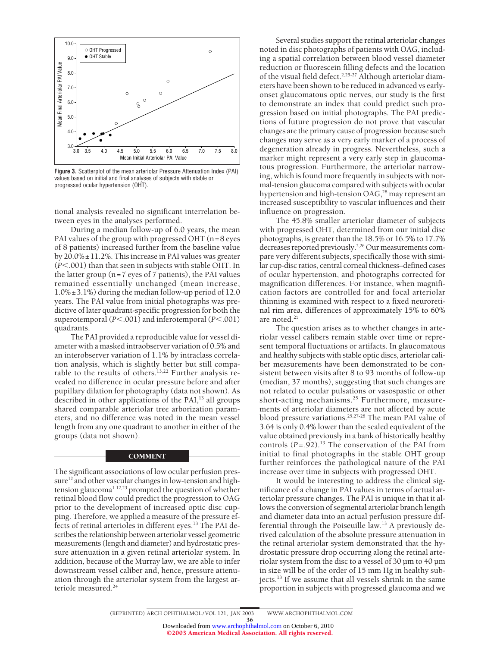

**Figure 3.** Scatterplot of the mean arteriolar Pressure Attenuation Index (PAI) values based on initial and final analyses of subjects with stable or progressed ocular hypertension (OHT).

tional analysis revealed no significant interrelation between eyes in the analyses performed.

During a median follow-up of 6.0 years, the mean PAI values of the group with progressed OHT (n=8 eyes of 8 patients) increased further from the baseline value by  $20.0\% \pm 11.2\%$ . This increase in PAI values was greater (*P*.001) than that seen in subjects with stable OHT. In the latter group (n=7 eyes of 7 patients), the PAI values remained essentially unchanged (mean increase, 1.0%±3.1%) during the median follow-up period of 12.0 years. The PAI value from initial photographs was predictive of later quadrant-specific progression for both the superotemporal ( $P$ <.001) and inferotemporal ( $P$ <.001) quadrants.

The PAI provided a reproducible value for vessel diameter with a masked intraobserver variation of 0.5% and an interobserver variation of 1.1% by intraclass correlation analysis, which is slightly better but still comparable to the results of others.<sup>13,22</sup> Further analysis revealed no difference in ocular pressure before and after pupillary dilation for photography (data not shown). As described in other applications of the PAI,<sup>13</sup> all groups shared comparable arteriolar tree arborization parameters, and no difference was noted in the mean vessel length from any one quadrant to another in either of the groups (data not shown).

#### **COMMENT**

The significant associations of low ocular perfusion pressure<sup>12</sup> and other vascular changes in low-tension and hightension glaucoma1-12,23 prompted the question of whether retinal blood flow could predict the progression to OAG prior to the development of increased optic disc cupping. Therefore, we applied a measure of the pressure effects of retinal arterioles in different eyes.13 The PAI describes the relationship between arteriolar vessel geometric measurements (length and diameter) and hydrostatic pressure attenuation in a given retinal arteriolar system. In addition, because of the Murray law, we are able to infer downstream vessel caliber and, hence, pressure attenuation through the arteriolar system from the largest arteriole measured.<sup>24</sup>

Several studies support the retinal arteriolar changes noted in disc photographs of patients with OAG, including a spatial correlation between blood vessel diameter reduction or fluorescein filling defects and the location of the visual field defect.<sup>2,25-27</sup> Although arteriolar diameters have been shown to be reduced in advanced vs earlyonset glaucomatous optic nerves, our study is the first to demonstrate an index that could predict such progression based on initial photographs. The PAI predictions of future progression do not prove that vascular changes are the primary cause of progression because such changes may serve as a very early marker of a process of degeneration already in progress. Nevertheless, such a marker might represent a very early step in glaucomatous progression. Furthermore, the arteriolar narrowing, which is found more frequently in subjects with normal-tension glaucoma compared with subjects with ocular hypertension and high-tension  $OAG<sub>1</sub><sup>28</sup>$  may represent an increased susceptibility to vascular influences and their influence on progression.

The 45.8% smaller arteriolar diameter of subjects with progressed OHT, determined from our initial disc photographs, is greater than the 18.5% or 16.5% to 17.7% decreases reported previously.<sup>2,26</sup> Our measurements compare very different subjects, specifically those with similar cup-disc ratios, central corneal thickness–defined cases of ocular hypertension, and photographs corrected for magnification differences. For instance, when magnification factors are controlled for and focal arteriolar thinning is examined with respect to a fixed neuroretinal rim area, differences of approximately 15% to 60% are noted.25

The question arises as to whether changes in arteriolar vessel calibers remain stable over time or represent temporal fluctuations or artifacts. In glaucomatous and healthy subjects with stable optic discs, arteriolar caliber measurements have been demonstrated to be consistent between visits after 8 to 93 months of follow-up (median, 37 months), suggesting that such changes are not related to ocular pulsations or vasospastic or other short-acting mechanisms.<sup>25</sup> Furthermore, measurements of arteriolar diameters are not affected by acute blood pressure variations.<sup>25,27-28</sup> The mean PAI value of 3.64 is only 0.4% lower than the scaled equivalent of the value obtained previously in a bank of historically healthy controls  $(P=.92).^{13}$  The conservation of the PAI from initial to final photographs in the stable OHT group further reinforces the pathological nature of the PAI increase over time in subjects with progressed OHT.

It would be interesting to address the clinical significance of a change in PAI values in terms of actual arteriolar pressure changes. The PAI is unique in that it allows the conversion of segmental arteriolar branch length and diameter data into an actual perfusion pressure differential through the Poiseuille law.13 A previously derived calculation of the absolute pressure attenuation in the retinal arteriolar system demonstrated that the hydrostatic pressure drop occurring along the retinal arteriolar system from the disc to a vessel of 30 µm to 40 µm in size will be of the order of 15 mm Hg in healthy subjects.13 If we assume that all vessels shrink in the same proportion in subjects with progressed glaucoma and we

36 Downloaded from [www.archophthalmol.com](http://www.archophthalmol.com) on October 6, 2010 ©2003 American Medical Association. All rights reserved.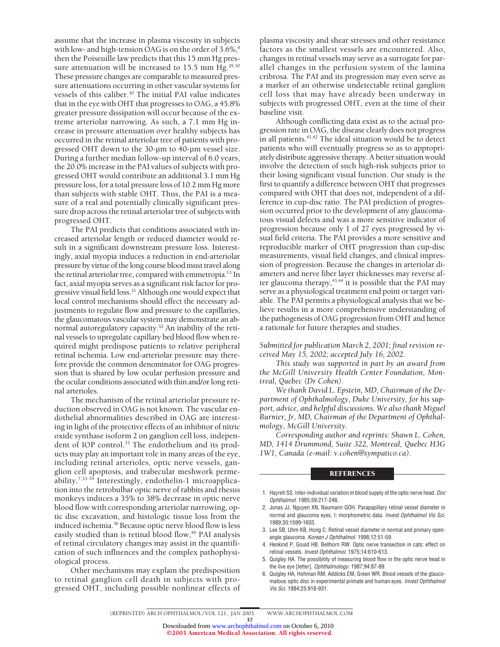assume that the increase in plasma viscosity in subjects with low- and high-tension OAG is on the order of  $3.6\%,$ <sup>9</sup> then the Poiseuille law predicts that this 15 mm Hg pressure attenuation will be increased to  $15.5$  mm Hg.<sup>29,30</sup> These pressure changes are comparable to measured pressure attenuations occurring in other vascular systems for vessels of this caliber.<sup>30</sup> The initial PAI value indicates that in the eye with OHT that progresses to OAG, a 45.8% greater pressure dissipation will occur because of the extreme arteriolar narrowing. As such, a 7.1 mm Hg increase in pressure attenuation over healthy subjects has occurred in the retinal arteriolar tree of patients with progressed OHT down to the 30-µm to 40-µm vessel size. During a further median follow-up interval of 6.0 years, the 20.0% increase in the PAI values of subjects with progressed OHT would contribute an additional 3.1 mm Hg pressure loss, for a total pressure loss of 10.2 mm Hg more than subjects with stable OHT. Thus, the PAI is a measure of a real and potentially clinically significant pressure drop across the retinal arteriolar tree of subjects with progressed OHT.

The PAI predicts that conditions associated with increased arteriolar length or reduced diameter would result in a significant downstream pressure loss. Interestingly, axial myopia induces a reduction in end-arteriolar pressure by virtue of the long course blood must travel along the retinal arteriolar tree, compared with emmetropia.<sup>13</sup> In fact, axial myopia serves as a significant risk factor for progressive visual field loss.<sup>31</sup> Although one would expect that local control mechanisms should effect the necessary adjustments to regulate flow and pressure to the capillaries, the glaucomatous vascular system may demonstrate an abnormal autoregulatory capacity.32 An inability of the retinal vessels to upregulate capillary bed blood flow when required might predispose patients to relative peripheral retinal ischemia. Low end-arteriolar pressure may therefore provide the common denominator for OAG progression that is shared by low ocular perfusion pressure and the ocular conditions associated with thin and/or long retinal arterioles.

The mechanism of the retinal arteriolar pressure reduction observed in OAG is not known. The vascular endothelial abnormalities described in OAG are interesting in light of the protective effects of an inhibitor of nitric oxide synthase isoform 2 on ganglion cell loss, independent of IOP control.<sup>33</sup> The endothelium and its products may play an important role in many areas of the eye, including retinal arterioles, optic nerve vessels, ganglion cell apoptosis, and trabecular meshwork permeability.7,33-39 Interestingly, endothelin-1 microapplication into the retrobulbar optic nerve of rabbits and rhesus monkeys induces a 35% to 38% decrease in optic nerve blood flow with corresponding arteriolar narrowing, optic disc excavation, and histologic tissue loss from the induced ischemia.<sup>36</sup> Because optic nerve blood flow is less easily studied than is retinal blood flow,<sup>40</sup> PAI analysis of retinal circulatory changes may assist in the quantification of such influences and the complex pathophysiological process.

Other mechanisms may explain the predisposition to retinal ganglion cell death in subjects with progressed OHT, including possible nonlinear effects of

plasma viscosity and shear stresses and other resistance factors as the smallest vessels are encountered. Also, changes in retinal vessels may serve as a surrogate for parallel changes in the perfusion system of the lamina cribrosa. The PAI and its progression may even serve as a marker of an otherwise undetectable retinal ganglion cell loss that may have already been underway in subjects with progressed OHT, even at the time of their baseline visit.

Although conflicting data exist as to the actual progression rate in OAG, the disease clearly does not progress in all patients.<sup>41,42</sup> The ideal situation would be to detect patients who will eventually progress so as to appropriately distribute aggressive therapy. A better situation would involve the detection of such high-risk subjects prior to their losing significant visual function. Our study is the first to quantify a difference between OHT that progresses compared with OHT that does not, independent of a difference in cup-disc ratio. The PAI prediction of progression occurred prior to the development of any glaucomatous visual defects and was a more sensitive indicator of progression because only 1 of 27 eyes progressed by visual field criteria. The PAI provides a more sensitive and reproducible marker of OHT progression than cup-disc measurements, visual field changes, and clinical impression of progression. Because the changes in arteriolar diameters and nerve fiber layer thicknesses may reverse after glaucoma therapy, $43,44$  it is possible that the PAI may serve as a physiological treatment end point or target variable. The PAI permits a physiological analysis that we believe results in a more comprehensive understanding of the pathogenesis of OAG progression from OHT and hence a rationale for future therapies and studies.

*Submitted for publication March 2, 2001; final revision received May 15, 2002; accepted July 16, 2002.*

*This study was supported in part by an award from the McGill University Health Center Foundation, Montreal, Quebec (Dr Cohen).*

*We thank David L. Epstein, MD, Chairman of the Department of Ophthalmology, Duke University, for his support, advice, and helpful discussions. We also thank Miguel Burnier, Jr, MD, Chairman of the Department of Ophthalmology, McGill University.*

*Corresponding author and reprints: Shawn L. Cohen, MD, 1414 Drummond, Suite 322, Montreal, Quebec H3G 1W1, Canada (e-mail: v.cohen@sympatico.ca).*

#### **REFERENCES**

- 1. Hayreh SS. Inter-individual variation in blood supply of the optic nerve head. *Doc Ophthalmol*. 1985;59:217-246.
- 2. Jonas JJ, Nguyen XN, Naumann GOH. Parapapillary retinal vessel diameter in normal and glaucoma eyes, I: morphometric data. *Invest Ophthalmol Vis Sci*. 1989;30:1599-1603.
- 3. Lee SB, Uhm KB, Hong C. Retinal vessel diameter in normal and primary openangle glaucoma. *Korean J Ophthalmol*. 1998;12:51-59.
- 4. Henkind P, Gould HB, Bellhorn RW. Optic nerve transection in cats: effect on retinal vessels. *Invest Ophthalmol*. 1975;14:610-613.
- 5. Quigley HA. The possibility of measuring blood flow in the optic nerve head in the live eye [letter]. *Ophthalmology*. 1987;94:87-89.
- 6. Quigley HA, Hohman RM, Addicks EM, Green WR. Blood vessels of the glaucomatous optic disc in experimental primate and human eyes. *Invest Ophthalmol Vis Sci*. 1984;25:918-931.